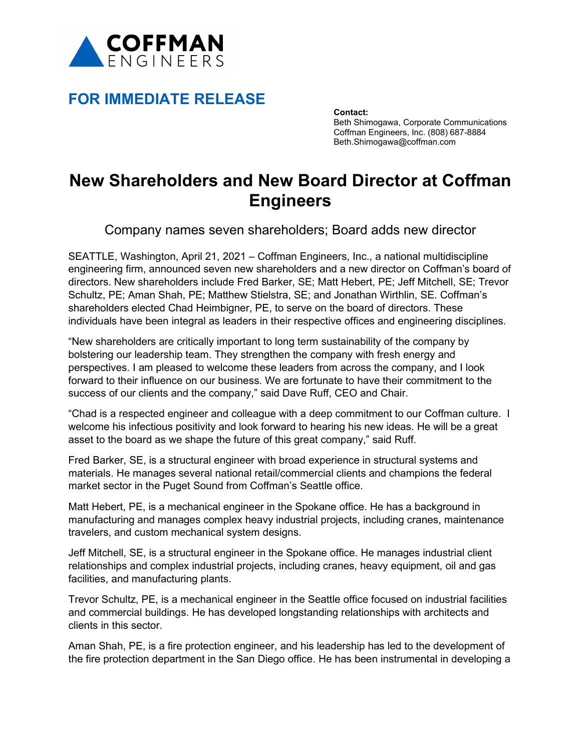

## **FOR IMMEDIATE RELEASE**

**Contact:** Beth Shimogawa, Corporate Communications Coffman Engineers, Inc. (808) 687-8884 Beth.Shimogawa@coffman.com

## **New Shareholders and New Board Director at Coffman Engineers**

Company names seven shareholders; Board adds new director

SEATTLE, Washington, April 21, 2021 – Coffman Engineers, Inc., a national multidiscipline engineering firm, announced seven new shareholders and a new director on Coffman's board of directors. New shareholders include Fred Barker, SE; Matt Hebert, PE; Jeff Mitchell, SE; Trevor Schultz, PE; Aman Shah, PE; Matthew Stielstra, SE; and Jonathan Wirthlin, SE. Coffman's shareholders elected Chad Heimbigner, PE, to serve on the board of directors. These individuals have been integral as leaders in their respective offices and engineering disciplines.

"New shareholders are critically important to long term sustainability of the company by bolstering our leadership team. They strengthen the company with fresh energy and perspectives. I am pleased to welcome these leaders from across the company, and I look forward to their influence on our business. We are fortunate to have their commitment to the success of our clients and the company," said Dave Ruff, CEO and Chair.

"Chad is a respected engineer and colleague with a deep commitment to our Coffman culture. I welcome his infectious positivity and look forward to hearing his new ideas. He will be a great asset to the board as we shape the future of this great company," said Ruff.

Fred Barker, SE, is a structural engineer with broad experience in structural systems and materials. He manages several national retail/commercial clients and champions the federal market sector in the Puget Sound from Coffman's Seattle office.

Matt Hebert, PE, is a mechanical engineer in the Spokane office. He has a background in manufacturing and manages complex heavy industrial projects, including cranes, maintenance travelers, and custom mechanical system designs.

Jeff Mitchell, SE, is a structural engineer in the Spokane office. He manages industrial client relationships and complex industrial projects, including cranes, heavy equipment, oil and gas facilities, and manufacturing plants.

Trevor Schultz, PE, is a mechanical engineer in the Seattle office focused on industrial facilities and commercial buildings. He has developed longstanding relationships with architects and clients in this sector.

Aman Shah, PE, is a fire protection engineer, and his leadership has led to the development of the fire protection department in the San Diego office. He has been instrumental in developing a